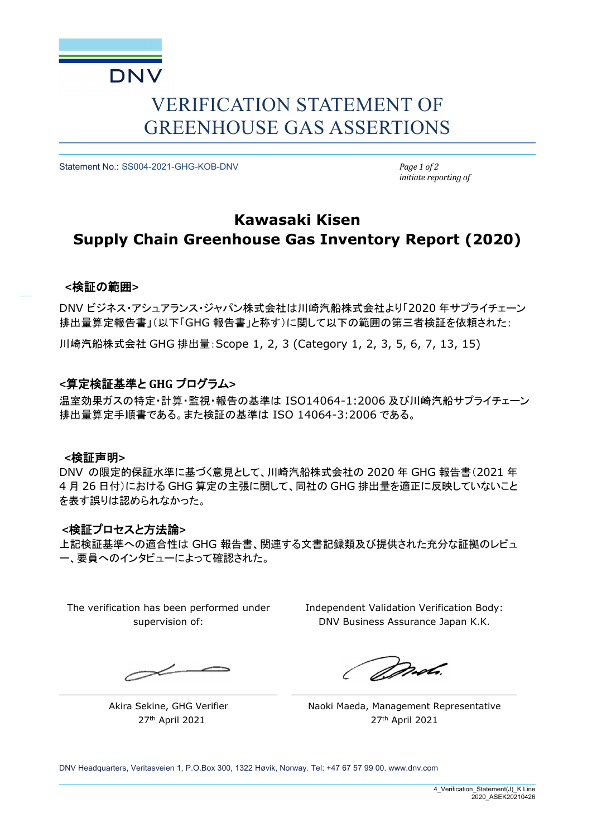

# VERIFICATION STATEMENT OF GREENHOUSE GAS ASSERTIONS

Statement No.: SS004-2021-GHG-KOB-DNV *Page 1 of 2*

*initiate reporting of*

# **Kawasaki Kisen Supply Chain Greenhouse Gas Inventory Report (2020)**

### **<**検証の範囲**>**

DNV ビジネス・アシュアランス・ジャパン株式会社は川崎汽船株式会社より「2020 年サプライチェーン 排出量算定報告書」(以下「GHG 報告書」と称す)に関して以下の範囲の第三者検証を依頼された:

川崎汽船株式会社 GHG 排出量:Scope 1, 2, 3 (Category 1, 2, 3, 5, 6, 7, 13, 15)

### **<**算定検証基準と **GHG** プログラム**>**

温室効果ガスの特定・計算・監視・報告の基準は ISO14064-1:2006 及び川崎汽船サプライチェーン 排出量算定手順書である。また検証の基準は ISO 14064-3:2006 である。

### **<**検証声明**>**

DNV の限定的保証水準に基づく意見として、川崎汽船株式会社の 2020 年 GHG 報告書(2021 年 4 月 26 日付)における GHG 算定の主張に関して、同社の GHG 排出量を適正に反映していないこと を表す誤りは認められなかった。

### **<**検証プロセスと方法論**>**

上記検証基準への適合性は GHG 報告書、関連する文書記録類及び提供された充分な証拠のレビュ ー、要員へのインタビューによって確認された。

The verification has been performed under supervision of:

Independent Validation Verification Body: DNV Business Assurance Japan K.K.

 $\prec$ 

Akira Sekine, GHG Verifier 27th April 2021

*Dorota*.

Naoki Maeda, Management Representative 27th April 2021